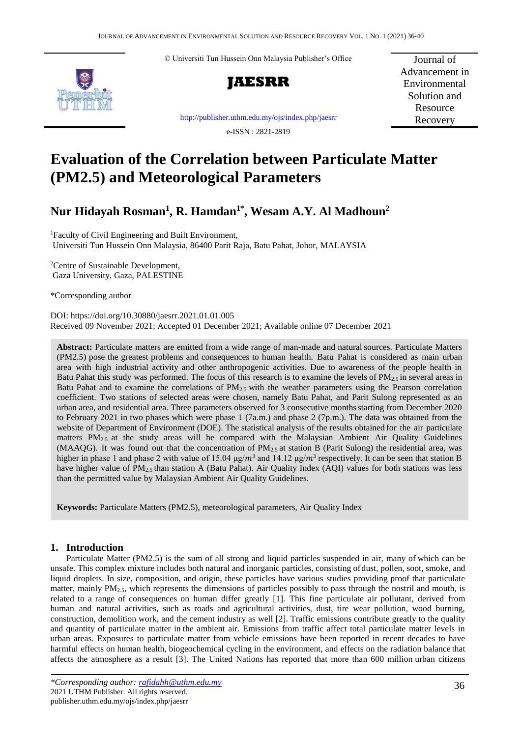© Universiti Tun Hussein Onn Malaysia Publisher's Office





Journal of Advancement in Environmental Solution and Resource Recovery

[http://publisher.uthm.edu.my/ojs/index.php/jaesrr](http://publisher.uthm.edu.my/ojs/index.php/paat)

e-ISSN : 2821-2819

# **Evaluation of the Correlation between Particulate Matter (PM2.5) and Meteorological Parameters**

# **Nur Hidayah Rosman<sup>1</sup> , R. Hamdan1\* , Wesam A.Y. Al Madhoun<sup>2</sup>**

<sup>1</sup>Faculty of Civil Engineering and Built Environment, Universiti Tun Hussein Onn Malaysia, 86400 Parit Raja, Batu Pahat, Johor, MALAYSIA

<sup>2</sup>Centre of Sustainable Development, Gaza University, Gaza, PALESTINE

\*Corresponding author

DOI: https://doi.org/10.30880/jaesrr.2021.01.01.005 Received 09 November 2021; Accepted 01 December 2021; Available online 07 December 2021

**Abstract:** Particulate matters are emitted from a wide range of man-made and natural sources. Particulate Matters (PM2.5) pose the greatest problems and consequences to human health. Batu Pahat is considered as main urban area with high industrial activity and other anthropogenic activities. Due to awareness of the people health in Batu Pahat this study was performed. The focus of this research is to examine the levels of  $PM_{2.5}$  in several areas in Batu Pahat and to examine the correlations of  $PM_{2.5}$  with the weather parameters using the Pearson correlation coefficient. Two stations of selected areas were chosen, namely Batu Pahat, and Parit Sulong represented as an urban area, and residential area. Three parameters observed for 3 consecutive monthsstarting from December 2020 to February 2021 in two phases which were phase 1 (7a.m.) and phase 2 (7p.m.). The data was obtained from the website of Department of Environment (DOE). The statistical analysis of the results obtained for the air particulate matters  $PM_{2.5}$  at the study areas will be compared with the Malaysian Ambient Air Quality Guidelines (MAAQG). It was found out that the concentration of  $PM_{2.5}$  at station B (Parit Sulong) the residential area, was higher in phase 1 and phase 2 with value of 15.04  $\mu$ g/m<sup>3</sup> and 14.12  $\mu$ g/m<sup>3</sup> respectively. It can be seen that station B have higher value of PM2.5 than station A (Batu Pahat). Air Quality Index (AQI) values for both stations was less than the permitted value by Malaysian Ambient Air Quality Guidelines.

**Keywords:** Particulate Matters (PM2.5), meteorological parameters, Air Quality Index

# **1. Introduction**

Particulate Matter (PM2.5) is the sum of all strong and liquid particles suspended in air, many of which can be unsafe. This complex mixture includes both natural and inorganic particles, consisting ofdust, pollen, soot, smoke, and liquid droplets. In size, composition, and origin, these particles have various studies providing proof that particulate matter, mainly PM2.5, which represents the dimensions of particles possibly to pass through the nostril and mouth, is related to a range of consequences on human differ greatly [1]. This fine particulate air pollutant, derived from human and natural activities, such as roads and agricultural activities, dust, tire wear pollution, wood burning, construction, demolition work, and the cement industry as well [2]. Traffic emissions contribute greatly to the quality and quantity of particulate matter in the ambient air. Emissions from traffic affect total particulate matter levels in urban areas. Exposures to particulate matter from vehicle emissions have been reported in recent decades to have harmful effects on human health, biogeochemical cycling in the environment, and effects on the radiation balance that affects the atmosphere as a result [3]. The United Nations has reported that more than 600 million urban citizens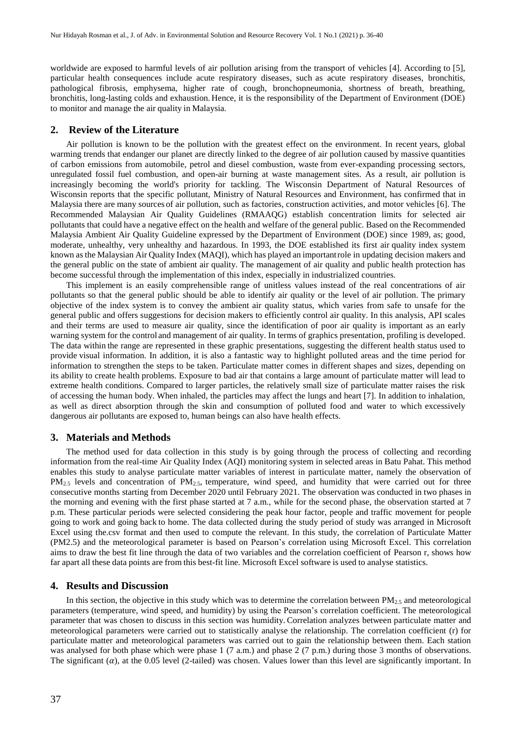worldwide are exposed to harmful levels of air pollution arising from the transport of vehicles [4]. According to [5], particular health consequences include acute respiratory diseases, such as acute respiratory diseases, bronchitis, pathological fibrosis, emphysema, higher rate of cough, bronchopneumonia, shortness of breath, breathing, bronchitis, long-lasting colds and exhaustion. Hence, it is the responsibility of the Department of Environment (DOE) to monitor and manage the air quality in Malaysia.

#### **2. Review of the Literature**

Air pollution is known to be the pollution with the greatest effect on the environment. In recent years, global warming trends that endanger our planet are directly linked to the degree of air pollution caused by massive quantities of carbon emissions from automobile, petrol and diesel combustion, waste from ever-expanding processing sectors, unregulated fossil fuel combustion, and open-air burning at waste management sites. As a result, air pollution is increasingly becoming the world's priority for tackling. The Wisconsin Department of Natural Resources of Wisconsin reports that the specific pollutant, Ministry of Natural Resources and Environment, has confirmed that in Malaysia there are many sources of air pollution, such as factories, construction activities, and motor vehicles [6]. The Recommended Malaysian Air Quality Guidelines (RMAAQG) establish concentration limits for selected air pollutants that could have a negative effect on the health and welfare of the general public. Based on the Recommended Malaysia Ambient Air Quality Guideline expressed by the Department of Environment (DOE) since 1989, as; good, moderate, unhealthy, very unhealthy and hazardous. In 1993, the DOE established its first air quality index system known asthe Malaysian Air Quality Index (MAQI), which has played an importantrole in updating decision makers and the general public on the state of ambient air quality. The management of air quality and public health protection has become successful through the implementation of this index, especially in industrialized countries.

This implement is an easily comprehensible range of unitless values instead of the real concentrations of air pollutants so that the general public should be able to identify air quality or the level of air pollution. The primary objective of the index system is to convey the ambient air quality status, which varies from safe to unsafe for the general public and offers suggestions for decision makers to efficiently control air quality. In this analysis, API scales and their terms are used to measure air quality, since the identification of poor air quality is important as an early warning system for the control and management of air quality. In terms of graphics presentation, profiling is developed. The data within the range are represented in these graphic presentations, suggesting the different health status used to provide visual information. In addition, it is also a fantastic way to highlight polluted areas and the time period for information to strengthen the steps to be taken. Particulate matter comes in different shapes and sizes, depending on its ability to create health problems. Exposure to bad air that contains a large amount of particulate matter will lead to extreme health conditions. Compared to larger particles, the relatively small size of particulate matter raises the risk of accessing the human body. When inhaled, the particles may affect the lungs and heart [7]. In addition to inhalation, as well as direct absorption through the skin and consumption of polluted food and water to which excessively dangerous air pollutants are exposed to, human beings can also have health effects.

#### **3. Materials and Methods**

The method used for data collection in this study is by going through the process of collecting and recording information from the real-time Air Quality Index (AQI) monitoring system in selected areas in Batu Pahat. This method enables this study to analyse particulate matter variables of interest in particulate matter, namely the observation of PM<sub>2.5</sub> levels and concentration of PM<sub>2.5</sub>, temperature, wind speed, and humidity that were carried out for three consecutive months starting from December 2020 until February 2021. The observation was conducted in two phases in the morning and evening with the first phase started at 7 a.m., while for the second phase, the observation started at 7 p.m. These particular periods were selected considering the peak hour factor, people and traffic movement for people going to work and going back to home. The data collected during the study period of study was arranged in Microsoft Excel using the.csv format and then used to compute the relevant. In this study, the correlation of Particulate Matter (PM2.5) and the meteorological parameter is based on Pearson's correlation using Microsoft Excel. This correlation aims to draw the best fit line through the data of two variables and the correlation coefficient of Pearson r, shows how far apart all these data points are from this best-fit line. Microsoft Excel software is used to analyse statistics.

#### **4. Results and Discussion**

In this section, the objective in this study which was to determine the correlation between  $PM_{2.5}$  and meteorological parameters (temperature, wind speed, and humidity) by using the Pearson's correlation coefficient. The meteorological parameter that was chosen to discuss in this section was humidity. Correlation analyzes between particulate matter and meteorological parameters were carried out to statistically analyse the relationship. The correlation coefficient (r) for particulate matter and meteorological parameters was carried out to gain the relationship between them. Each station was analysed for both phase which were phase 1 (7 a.m.) and phase 2 (7 p.m.) during those 3 months of observations. The significant  $(\alpha)$ , at the 0.05 level (2-tailed) was chosen. Values lower than this level are significantly important. In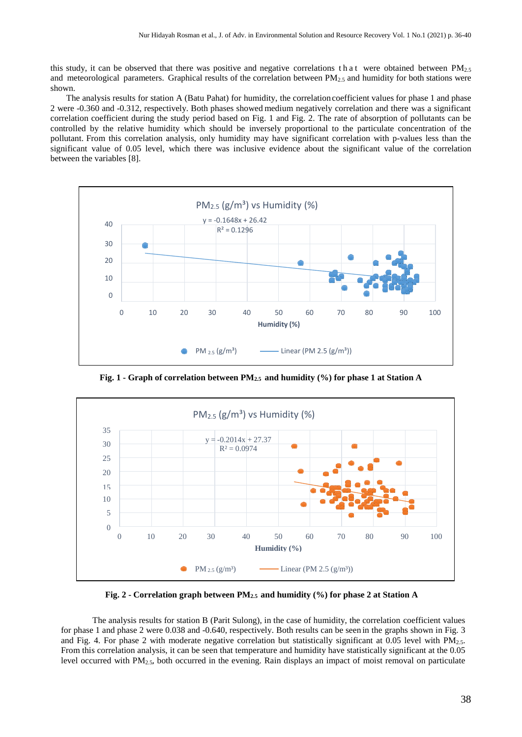this study, it can be observed that there was positive and negative correlations that were obtained between  $PM_{2.5}$ and meteorological parameters. Graphical results of the correlation between  $PM_{2.5}$  and humidity for both stations were shown.

The analysis results for station A (Batu Pahat) for humidity, the correlation coefficient values for phase 1 and phase 2 were -0.360 and -0.312, respectively. Both phases showed medium negatively correlation and there was a significant correlation coefficient during the study period based on Fig. 1 and Fig. 2. The rate of absorption of pollutants can be controlled by the relative humidity which should be inversely proportional to the particulate concentration of the pollutant. From this correlation analysis, only humidity may have significant correlation with p-values less than the significant value of 0.05 level, which there was inclusive evidence about the significant value of the correlation between the variables [8].



**Fig. 1 - Graph of correlation between PM2.5 and humidity (%) for phase 1 at Station A**



**Fig. 2 - Correlation graph between PM2.5 and humidity (%) for phase 2 at Station A**

The analysis results for station B (Parit Sulong), in the case of humidity, the correlation coefficient values for phase 1 and phase 2 were 0.038 and -0.640, respectively. Both results can be seen in the graphs shown in Fig. 3 and Fig. 4. For phase 2 with moderate negative correlation but statistically significant at 0.05 level with PM2.5. From this correlation analysis, it can be seen that temperature and humidity have statistically significant at the 0.05 level occurred with PM2.5, both occurred in the evening. Rain displays an impact of moist removal on particulate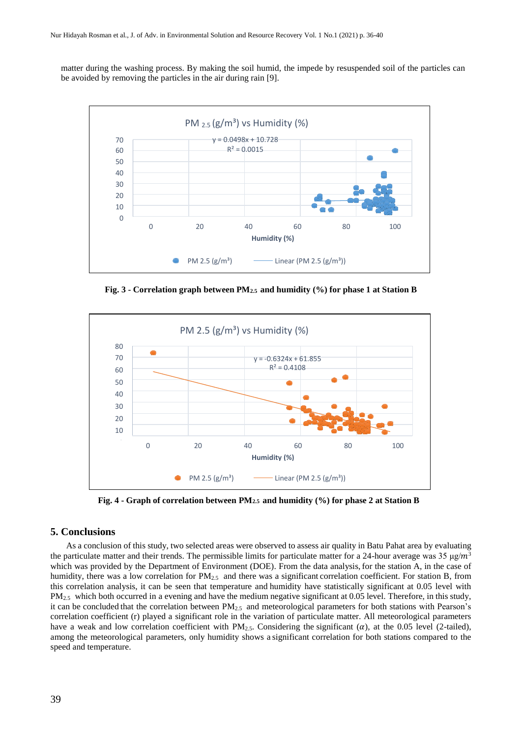matter during the washing process. By making the soil humid, the impede by resuspended soil of the particles can be avoided by removing the particles in the air during rain [9].



**Fig. 3 - Correlation graph between PM2.5 and humidity (%) for phase 1 at Station B**



**Fig. 4 - Graph of correlation between PM2.5 and humidity (%) for phase 2 at Station B**

# **5. Conclusions**

As a conclusion of this study, two selected areas were observed to assess air quality in Batu Pahat area by evaluating the particulate matter and their trends. The permissible limits for particulate matter for a 24-hour average was 35  $\mu$ g/ $m^3$ which was provided by the Department of Environment (DOE). From the data analysis, for the station A, in the case of humidity, there was a low correlation for PM<sub>2.5</sub> and there was a significant correlation coefficient. For station B, from this correlation analysis, it can be seen that temperature and humidity have statistically significant at 0.05 level with  $PM_{2.5}$  which both occurred in a evening and have the medium negative significant at 0.05 level. Therefore, in this study, it can be concluded that the correlation between  $PM_{2.5}$  and meteorological parameters for both stations with Pearson's correlation coefficient (r) played a significant role in the variation of particulate matter. All meteorological parameters have a weak and low correlation coefficient with PM<sub>2.5</sub>. Considering the significant  $(\alpha)$ , at the 0.05 level (2-tailed), among the meteorological parameters, only humidity shows a significant correlation for both stations compared to the speed and temperature.